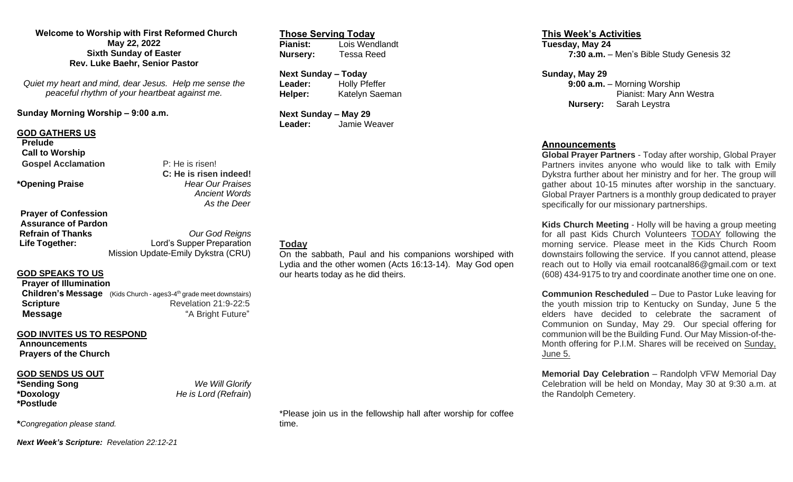**Welcome to Worship with First Reformed Church May 22, 2022 Sixth Sunday of Easter Rev. Luke Baehr, Senior Pastor**

*Quiet my heart and mind, dear Jesus. Help me sense the peaceful rhythm of your heartbeat against me.*

**Sunday Morning Worship – 9:00 a.m.**

#### **GOD GATHERS US**

**Prelude Call to Worship Gospel Acclamation** P: He is risen!

**\*Opening Praise** *Hear Our Praises*

**Prayer of Confession Assurance of Pardon**

**Refrain of Thanks** *Our God Reigns* **Life Together: Lord's Supper Preparation** Mission Update-Emily Dykstra (CRU)

**C: He is risen indeed!** 

 *Ancient Words As the Deer*

#### **GOD SPEAKS TO US**

| <b>Prayer of Illumination</b> |                                                                                |
|-------------------------------|--------------------------------------------------------------------------------|
|                               | Children's Message (Kids Church - ages3-4 <sup>th</sup> grade meet downstairs) |
| <b>Scripture</b>              | Revelation 21:9-22:5                                                           |
| <b>Message</b>                | "A Bright Future"                                                              |

## **GOD INVITES US TO RESPOND**

**Announcements Prayers of the Church**

## **GOD SENDS US OUT**

**\*Postlude**

**\*Sending Song** *We Will Glorify* **\*Doxology** *He is Lord (Refrain*)

**\****Congregation please stand.*

*Next Week's Scripture: Revelation 22:12-21*

**Those Serving Today Pianist:** Lois Wendlandt **Nursery:** Tessa Reed

**Next Sunday – Today Leader:** Holly Pfeffer **Helper:** Katelyn Saeman

**Next Sunday – May 29 Leader:** Jamie Weaver

# **Today**

On the sabbath, Paul and his companions worshiped with Lydia and the other women (Acts 16:13-14). May God open our hearts today as he did theirs.

**This Week's Activities Tuesday, May 24 7:30 a.m.** – Men's Bible Study Genesis 32

**Sunday, May 29**

 **9:00 a.m.** – Morning Worship Pianist: Mary Ann Westra **Nursery:** Sarah Leystra

#### **Announcements**

**Global Prayer Partners** - Today after worship, Global Prayer Partners invites anyone who would like to talk with Emily Dykstra further about her ministry and for her. The group will gather about 10-15 minutes after worship in the sanctuary. Global Prayer Partners is a monthly group dedicated to prayer specifically for our missionary partnerships.

**Kids Church Meeting** - Holly will be having a group meeting for all past Kids Church Volunteers TODAY following the morning service. Please meet in the Kids Church Room downstairs following the service. If you cannot attend, please reach out to Holly via email rootcanal86@gmail.com or text (608) 434-9175 to try and coordinate another time one on one.

**Communion Rescheduled** – Due to Pastor Luke leaving for the youth mission trip to Kentucky on Sunday, June 5 the elders have decided to celebrate the sacrament of Communion on Sunday, May 29. Our special offering for communion will be the Building Fund. Our May Mission-of-the-Month offering for P.I.M. Shares will be received on Sunday, June 5.

**Memorial Day Celebration** – Randolph VFW Memorial Day Celebration will be held on Monday, May 30 at 9:30 a.m. at the Randolph Cemetery.

\*Please join us in the fellowship hall after worship for coffee time.